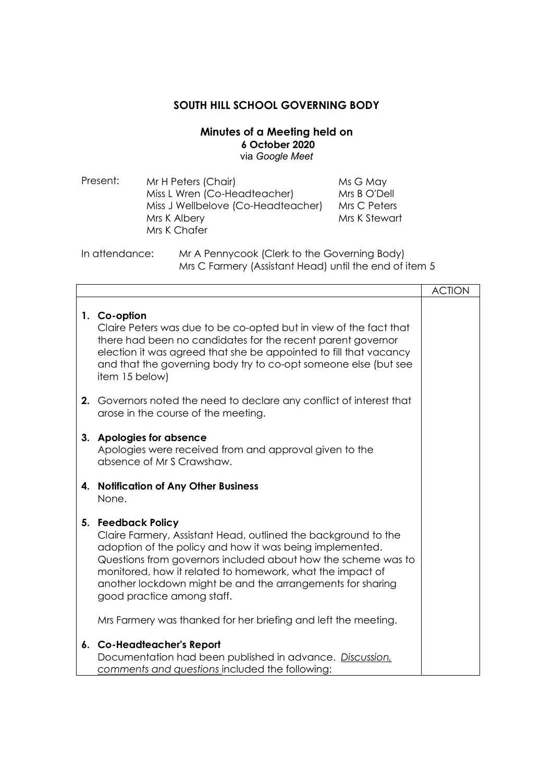## **SOUTH HILL SCHOOL GOVERNING BODY**

## **Minutes of a Meeting held on 6 October 2020**  via *Google Meet*

| Present: | Mr H Peters (Chair)                | Ms G May      |
|----------|------------------------------------|---------------|
|          | Miss L Wren (Co-Headteacher)       | Mrs B O'Dell  |
|          | Miss J Wellbelove (Co-Headteacher) | Mrs C Peters  |
|          | Mrs K Albery                       | Mrs K Stewart |
|          | Mrs K Chafer                       |               |
|          |                                    |               |

In attendance: Mr A Pennycook (Clerk to the Governing Body) Mrs C Farmery (Assistant Head) until the end of item 5

|                                                                                                                                                                                                                                                                                                                                                                                                                                              | <b>ACTION</b> |
|----------------------------------------------------------------------------------------------------------------------------------------------------------------------------------------------------------------------------------------------------------------------------------------------------------------------------------------------------------------------------------------------------------------------------------------------|---------------|
| 1. Co-option<br>Claire Peters was due to be co-opted but in view of the fact that<br>there had been no candidates for the recent parent governor<br>election it was agreed that she be appointed to fill that vacancy<br>and that the governing body try to co-opt someone else (but see<br>item 15 below)                                                                                                                                   |               |
| 2. Governors noted the need to declare any conflict of interest that<br>arose in the course of the meeting.                                                                                                                                                                                                                                                                                                                                  |               |
| 3. Apologies for absence<br>Apologies were received from and approval given to the<br>absence of Mr S Crawshaw.                                                                                                                                                                                                                                                                                                                              |               |
| 4. Notification of Any Other Business<br>None.                                                                                                                                                                                                                                                                                                                                                                                               |               |
| 5. Feedback Policy<br>Claire Farmery, Assistant Head, outlined the background to the<br>adoption of the policy and how it was being implemented.<br>Questions from governors included about how the scheme was to<br>monitored, how it related to homework, what the impact of<br>another lockdown might be and the arrangements for sharing<br>good practice among staff.<br>Mrs Farmery was thanked for her briefing and left the meeting. |               |
| 6. Co-Headteacher's Report<br>Documentation had been published in advance. Discussion,<br>comments and questions included the following:                                                                                                                                                                                                                                                                                                     |               |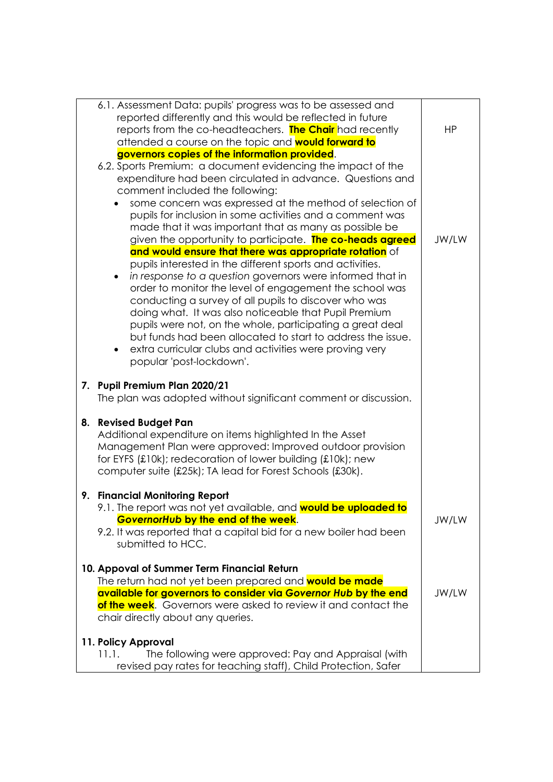|    | 6.1. Assessment Data: pupils' progress was to be assessed and                                                                                                                                                                                                                  |           |
|----|--------------------------------------------------------------------------------------------------------------------------------------------------------------------------------------------------------------------------------------------------------------------------------|-----------|
|    | reported differently and this would be reflected in future                                                                                                                                                                                                                     |           |
|    | reports from the co-headteachers. The Chair had recently                                                                                                                                                                                                                       | <b>HP</b> |
|    | attended a course on the topic and <b>would forward to</b>                                                                                                                                                                                                                     |           |
|    | governors copies of the information provided.                                                                                                                                                                                                                                  |           |
|    | 6.2. Sports Premium: a document evidencing the impact of the                                                                                                                                                                                                                   |           |
|    | expenditure had been circulated in advance. Questions and                                                                                                                                                                                                                      |           |
|    | comment included the following:                                                                                                                                                                                                                                                |           |
|    | some concern was expressed at the method of selection of                                                                                                                                                                                                                       |           |
|    | pupils for inclusion in some activities and a comment was                                                                                                                                                                                                                      |           |
|    | made that it was important that as many as possible be                                                                                                                                                                                                                         |           |
|    | given the opportunity to participate. The co-heads agreed                                                                                                                                                                                                                      | JW/LW     |
|    | and would ensure that there was appropriate rotation of                                                                                                                                                                                                                        |           |
|    | pupils interested in the different sports and activities.                                                                                                                                                                                                                      |           |
|    | in response to a question governors were informed that in<br>٠                                                                                                                                                                                                                 |           |
|    | order to monitor the level of engagement the school was                                                                                                                                                                                                                        |           |
|    | conducting a survey of all pupils to discover who was                                                                                                                                                                                                                          |           |
|    | doing what. It was also noticeable that Pupil Premium                                                                                                                                                                                                                          |           |
|    | pupils were not, on the whole, participating a great deal                                                                                                                                                                                                                      |           |
|    | but funds had been allocated to start to address the issue.                                                                                                                                                                                                                    |           |
|    | extra curricular clubs and activities were proving very<br>$\bullet$                                                                                                                                                                                                           |           |
|    | popular 'post-lockdown'.                                                                                                                                                                                                                                                       |           |
|    | 7. Pupil Premium Plan 2020/21<br>The plan was adopted without significant comment or discussion.                                                                                                                                                                               |           |
| 8. | <b>Revised Budget Pan</b><br>Additional expenditure on items highlighted In the Asset<br>Management Plan were approved: Improved outdoor provision<br>for EYFS (£10k); redecoration of lower building (£10k); new<br>computer suite (£25k); TA lead for Forest Schools (£30k). |           |
|    | 9. Financial Monitoring Report                                                                                                                                                                                                                                                 |           |
|    | 9.1. The report was not yet available, and <b>would be uploaded to</b>                                                                                                                                                                                                         |           |
|    | GovernorHub by the end of the week.                                                                                                                                                                                                                                            | JW/LW     |
|    | 9.2. It was reported that a capital bid for a new boiler had been                                                                                                                                                                                                              |           |
|    | submitted to HCC.                                                                                                                                                                                                                                                              |           |
|    |                                                                                                                                                                                                                                                                                |           |
|    | 10. Appoval of Summer Term Financial Return                                                                                                                                                                                                                                    |           |
|    | The return had not yet been prepared and <b>would be made</b>                                                                                                                                                                                                                  |           |
|    | available for governors to consider via Governor Hub by the end                                                                                                                                                                                                                | JW/LW     |
|    | of the week. Governors were asked to review it and contact the                                                                                                                                                                                                                 |           |
|    | chair directly about any queries.                                                                                                                                                                                                                                              |           |
|    |                                                                                                                                                                                                                                                                                |           |
|    | 11. Policy Approval                                                                                                                                                                                                                                                            |           |
|    | The following were approved: Pay and Appraisal (with<br>11.1.                                                                                                                                                                                                                  |           |
|    | revised pay rates for teaching staff), Child Protection, Safer                                                                                                                                                                                                                 |           |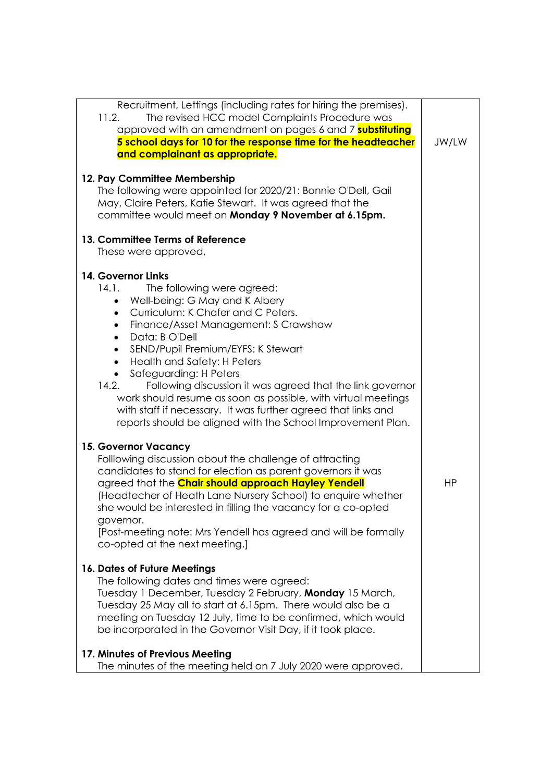| Recruitment, Lettings (including rates for hiring the premises).<br>11.2.<br>The revised HCC model Complaints Procedure was<br>approved with an amendment on pages 6 and 7 <b>substituting</b><br>5 school days for 10 for the response time for the headteacher<br>and complainant as appropriate.<br>12. Pay Committee Membership<br>The following were appointed for 2020/21: Bonnie O'Dell, Gail<br>May, Claire Peters, Katie Stewart. It was agreed that the<br>committee would meet on Monday 9 November at 6.15pm.                                                                                                                                                                                                                   | JW/LW     |
|---------------------------------------------------------------------------------------------------------------------------------------------------------------------------------------------------------------------------------------------------------------------------------------------------------------------------------------------------------------------------------------------------------------------------------------------------------------------------------------------------------------------------------------------------------------------------------------------------------------------------------------------------------------------------------------------------------------------------------------------|-----------|
| 13. Committee Terms of Reference<br>These were approved,                                                                                                                                                                                                                                                                                                                                                                                                                                                                                                                                                                                                                                                                                    |           |
| 14. Governor Links<br>14.1.<br>The following were agreed:<br>Well-being: G May and K Albery<br>$\bullet$<br>Curriculum: K Chafer and C Peters.<br>$\bullet$<br>Finance/Asset Management: S Crawshaw<br>$\bullet$<br>Data: B O'Dell<br>$\bullet$<br>SEND/Pupil Premium/EYFS: K Stewart<br>$\bullet$<br>Health and Safety: H Peters<br>$\bullet$<br>Safeguarding: H Peters<br>Following discussion it was agreed that the link governor<br>14.2.<br>work should resume as soon as possible, with virtual meetings<br>with staff if necessary. It was further agreed that links and<br>reports should be aligned with the School Improvement Plan.                                                                                             |           |
| 15. Governor Vacancy<br>Folllowing discussion about the challenge of attracting<br>candidates to stand for election as parent governors it was<br>agreed that the <b>Chair should approach Hayley Yendell</b><br>(Headtecher of Heath Lane Nursery School) to enquire whether<br>she would be interested in filling the vacancy for a co-opted<br>governor.<br>[Post-meeting note: Mrs Yendell has agreed and will be formally<br>co-opted at the next meeting.]<br>16. Dates of Future Meetings<br>The following dates and times were agreed:<br>Tuesday 1 December, Tuesday 2 February, Monday 15 March,<br>Tuesday 25 May all to start at 6.15pm. There would also be a<br>meeting on Tuesday 12 July, time to be confirmed, which would | <b>HP</b> |
| be incorporated in the Governor Visit Day, if it took place.<br>17. Minutes of Previous Meeting<br>The minutes of the meeting held on 7 July 2020 were approved.                                                                                                                                                                                                                                                                                                                                                                                                                                                                                                                                                                            |           |